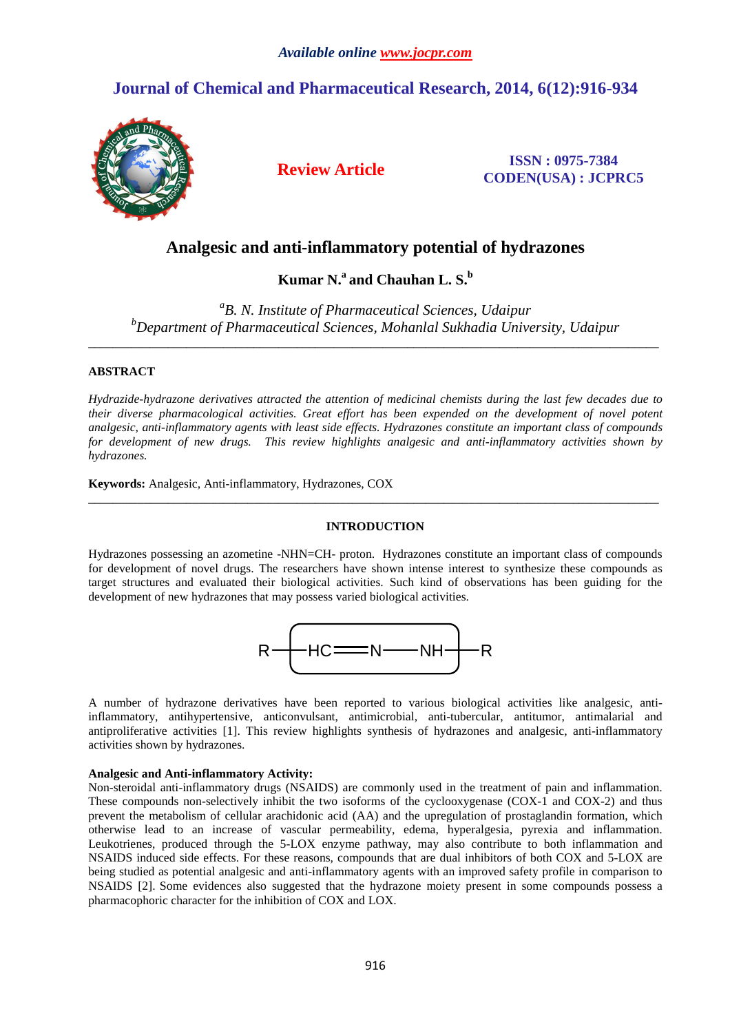# **Journal of Chemical and Pharmaceutical Research, 2014, 6(12):916-934**



**Review Article ISSN : 0975-7384 CODEN(USA) : JCPRC5**

## **Analgesic and anti-inflammatory potential of hydrazones**

**Kumar N.<sup>a</sup>and Chauhan L. S.<sup>b</sup>**

*a B. N. Institute of Pharmaceutical Sciences, Udaipur <sup>b</sup>Department of Pharmaceutical Sciences, Mohanlal Sukhadia University, Udaipur*  \_\_\_\_\_\_\_\_\_\_\_\_\_\_\_\_\_\_\_\_\_\_\_\_\_\_\_\_\_\_\_\_\_\_\_\_\_\_\_\_\_\_\_\_\_\_\_\_\_\_\_\_\_\_\_\_\_\_\_\_\_\_\_\_\_\_\_\_\_\_\_\_\_\_\_\_\_\_\_\_\_\_\_\_\_\_\_\_\_\_\_\_\_

### **ABSTRACT**

*Hydrazide-hydrazone derivatives attracted the attention of medicinal chemists during the last few decades due to their diverse pharmacological activities. Great effort has been expended on the development of novel potent analgesic, anti-inflammatory agents with least side effects. Hydrazones constitute an important class of compounds for development of new drugs. This review highlights analgesic and anti-inflammatory activities shown by hydrazones.* 

**Keywords:** Analgesic, Anti-inflammatory, Hydrazones, COX

#### **INTRODUCTION**

**\_\_\_\_\_\_\_\_\_\_\_\_\_\_\_\_\_\_\_\_\_\_\_\_\_\_\_\_\_\_\_\_\_\_\_\_\_\_\_\_\_\_\_\_\_\_\_\_\_\_\_\_\_\_\_\_\_\_\_\_\_\_\_\_\_\_\_\_\_\_\_\_\_\_\_\_\_\_\_\_\_\_\_\_\_\_\_\_\_\_\_\_\_** 

Hydrazones possessing an azometine -NHN=CH- proton. Hydrazones constitute an important class of compounds for development of novel drugs. The researchers have shown intense interest to synthesize these compounds as target structures and evaluated their biological activities. Such kind of observations has been guiding for the development of new hydrazones that may possess varied biological activities.



A number of hydrazone derivatives have been reported to various biological activities like analgesic, antiinflammatory, antihypertensive, anticonvulsant, antimicrobial, anti-tubercular, antitumor, antimalarial and antiproliferative activities [1]. This review highlights synthesis of hydrazones and analgesic, anti-inflammatory activities shown by hydrazones.

#### **Analgesic and Anti-inflammatory Activity:**

Non-steroidal anti-inflammatory drugs (NSAIDS) are commonly used in the treatment of pain and inflammation. These compounds non-selectively inhibit the two isoforms of the cyclooxygenase (COX-1 and COX-2) and thus prevent the metabolism of cellular arachidonic acid (AA) and the upregulation of prostaglandin formation, which otherwise lead to an increase of vascular permeability, edema, hyperalgesia, pyrexia and inflammation. Leukotrienes, produced through the 5-LOX enzyme pathway, may also contribute to both inflammation and NSAIDS induced side effects. For these reasons, compounds that are dual inhibitors of both COX and 5-LOX are being studied as potential analgesic and anti-inflammatory agents with an improved safety profile in comparison to NSAIDS [2]. Some evidences also suggested that the hydrazone moiety present in some compounds possess a pharmacophoric character for the inhibition of COX and LOX.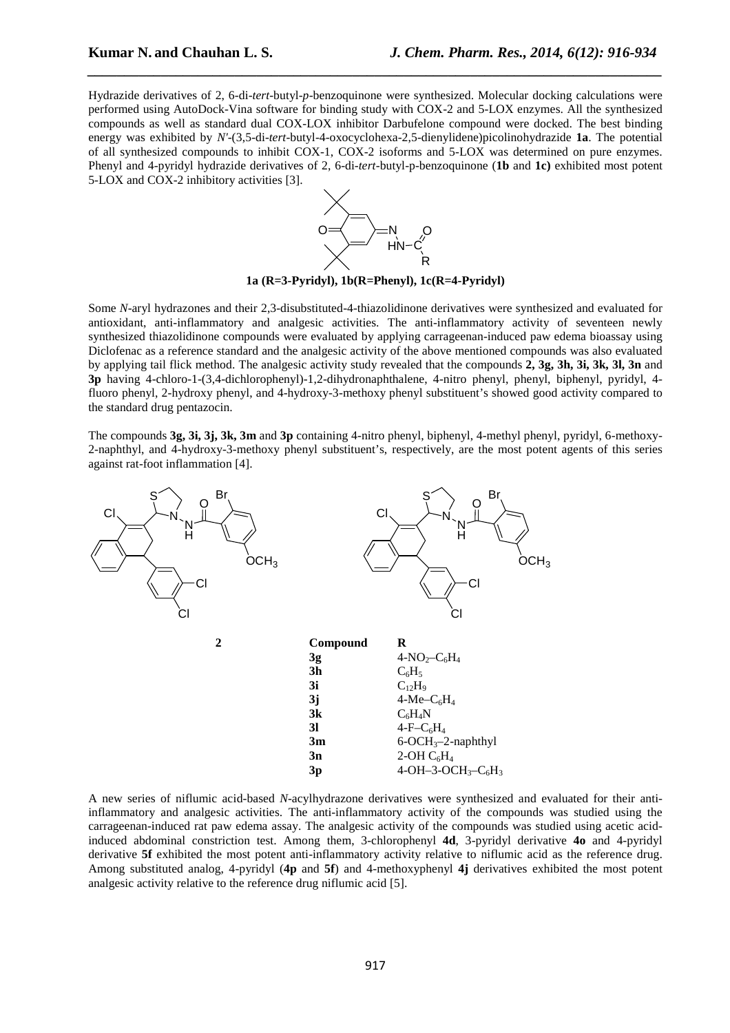Hydrazide derivatives of 2, 6-di-*tert*-butyl-*p*-benzoquinone were synthesized. Molecular docking calculations were performed using AutoDock-Vina software for binding study with COX-2 and 5-LOX enzymes. All the synthesized compounds as well as standard dual COX-LOX inhibitor Darbufelone compound were docked. The best binding energy was exhibited by *N'*-(3,5-di-*tert*-butyl-4-oxocyclohexa-2,5-dienylidene)picolinohydrazide **1a**. The potential of all synthesized compounds to inhibit COX-1, COX-2 isoforms and 5-LOX was determined on pure enzymes. Phenyl and 4-pyridyl hydrazide derivatives of 2, 6-di-*tert*-butyl-p-benzoquinone (**1b** and **1c)** exhibited most potent 5-LOX and COX-2 inhibitory activities [3].

*\_\_\_\_\_\_\_\_\_\_\_\_\_\_\_\_\_\_\_\_\_\_\_\_\_\_\_\_\_\_\_\_\_\_\_\_\_\_\_\_\_\_\_\_\_\_\_\_\_\_\_\_\_\_\_\_\_\_\_\_\_\_\_\_\_\_\_\_\_\_\_\_\_\_\_\_\_\_*



**1a (R=3-Pyridyl), 1b(R=Phenyl), 1c(R=4-Pyridyl)** 

Some *N*-aryl hydrazones and their 2,3-disubstituted-4-thiazolidinone derivatives were synthesized and evaluated for antioxidant, anti-inflammatory and analgesic activities. The anti-inflammatory activity of seventeen newly synthesized thiazolidinone compounds were evaluated by applying carrageenan-induced paw edema bioassay using Diclofenac as a reference standard and the analgesic activity of the above mentioned compounds was also evaluated by applying tail flick method. The analgesic activity study revealed that the compounds **2, 3g, 3h, 3i, 3k, 3l, 3n** and **3p** having 4-chloro-1-(3,4-dichlorophenyl)-1,2-dihydronaphthalene, 4-nitro phenyl, phenyl, biphenyl, pyridyl, 4 fluoro phenyl, 2-hydroxy phenyl, and 4-hydroxy-3-methoxy phenyl substituent's showed good activity compared to the standard drug pentazocin.

The compounds **3g, 3i, 3j, 3k, 3m** and **3p** containing 4-nitro phenyl, biphenyl, 4-methyl phenyl, pyridyl, 6-methoxy-2-naphthyl, and 4-hydroxy-3-methoxy phenyl substituent's, respectively, are the most potent agents of this series against rat-foot inflammation [4].



A new series of niflumic acid-based *N*-acylhydrazone derivatives were synthesized and evaluated for their antiinflammatory and analgesic activities. The anti-inflammatory activity of the compounds was studied using the carrageenan-induced rat paw edema assay. The analgesic activity of the compounds was studied using acetic acidinduced abdominal constriction test. Among them, 3-chlorophenyl **4d**, 3-pyridyl derivative **4o** and 4-pyridyl derivative **5f** exhibited the most potent anti-inflammatory activity relative to niflumic acid as the reference drug. Among substituted analog, 4-pyridyl (**4p** and **5f**) and 4-methoxyphenyl **4j** derivatives exhibited the most potent analgesic activity relative to the reference drug niflumic acid [5].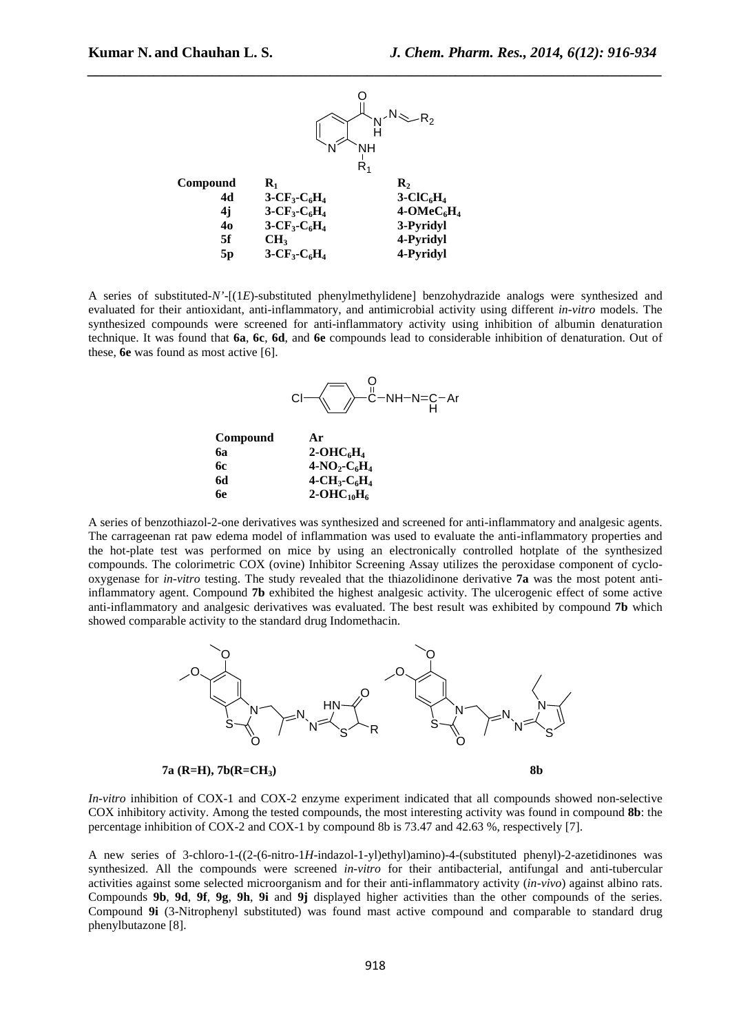

A series of substituted-*N'*-[(1*E*)-substituted phenylmethylidene] benzohydrazide analogs were synthesized and evaluated for their antioxidant, anti-inflammatory, and antimicrobial activity using different *in-vitro* models. The synthesized compounds were screened for anti-inflammatory activity using inhibition of albumin denaturation technique. It was found that **6a**, **6c**, **6d**, and **6e** compounds lead to considerable inhibition of denaturation. Out of these, **6e** was found as most active [6].



A series of benzothiazol-2-one derivatives was synthesized and screened for anti-inflammatory and analgesic agents. The carrageenan rat paw edema model of inflammation was used to evaluate the anti-inflammatory properties and the hot-plate test was performed on mice by using an electronically controlled hotplate of the synthesized compounds. The colorimetric COX (ovine) Inhibitor Screening Assay utilizes the peroxidase component of cyclooxygenase for *in-vitro* testing. The study revealed that the thiazolidinone derivative **7a** was the most potent antiinflammatory agent. Compound **7b** exhibited the highest analgesic activity. The ulcerogenic effect of some active anti-inflammatory and analgesic derivatives was evaluated. The best result was exhibited by compound **7b** which showed comparable activity to the standard drug Indomethacin.



 **7a (R=H), 7b(R=CH3) 8b** 

*In-vitro* inhibition of COX-1 and COX-2 enzyme experiment indicated that all compounds showed non-selective COX inhibitory activity. Among the tested compounds, the most interesting activity was found in compound **8b**: the percentage inhibition of COX-2 and COX-1 by compound 8b is 73.47 and 42.63 %, respectively [7].

A new series of 3-chloro-1-((2-(6-nitro-1*H*-indazol-1-yl)ethyl)amino)-4-(substituted phenyl)-2-azetidinones was synthesized. All the compounds were screened *in-vitro* for their antibacterial, antifungal and anti-tubercular activities against some selected microorganism and for their anti-inflammatory activity (*in-vivo*) against albino rats. Compounds **9b**, **9d**, **9f**, **9g**, **9h**, **9i** and **9j** displayed higher activities than the other compounds of the series. Compound **9i** (3-Nitrophenyl substituted) was found mast active compound and comparable to standard drug phenylbutazone [8].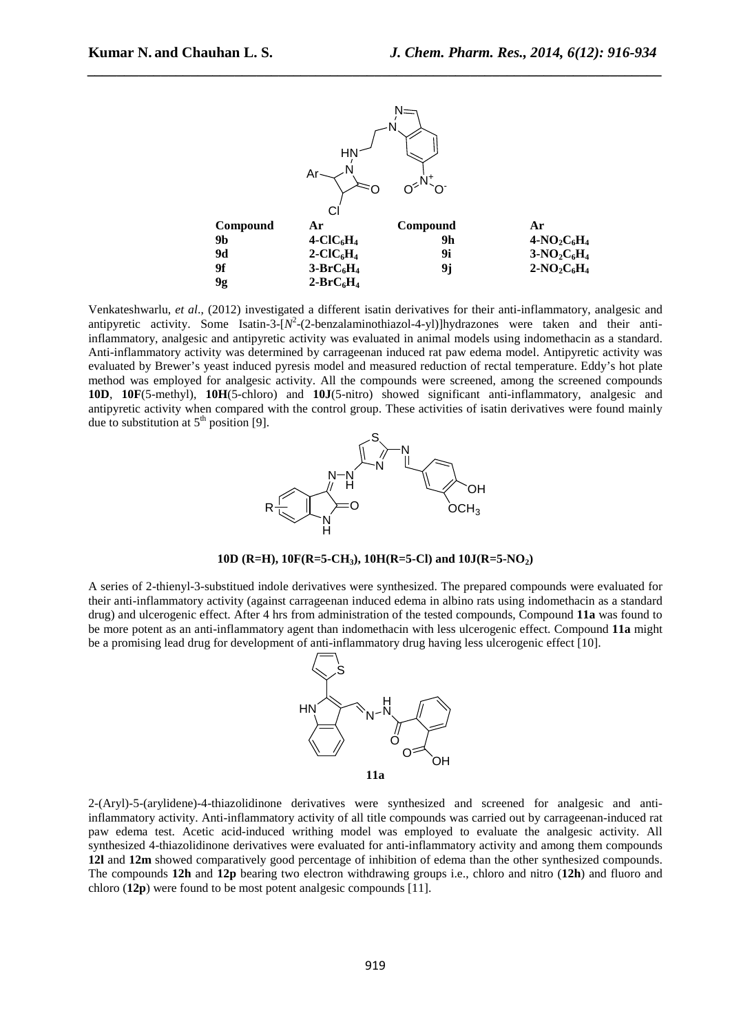

Venkateshwarlu, *et al*., (2012) investigated a different isatin derivatives for their anti-inflammatory, analgesic and antipyretic activity. Some Isatin-3-[N<sup>2</sup>-(2-benzalaminothiazol-4-yl)]hydrazones were taken and their antiinflammatory, analgesic and antipyretic activity was evaluated in animal models using indomethacin as a standard. Anti-inflammatory activity was determined by carrageenan induced rat paw edema model. Antipyretic activity was evaluated by Brewer's yeast induced pyresis model and measured reduction of rectal temperature. Eddy's hot plate method was employed for analgesic activity. All the compounds were screened, among the screened compounds **10D**, **10F**(5-methyl), **10H**(5-chloro) and **10J**(5-nitro) showed significant anti-inflammatory, analgesic and antipyretic activity when compared with the control group. These activities of isatin derivatives were found mainly due to substitution at  $5<sup>th</sup>$  position [9].



**10D (R=H), 10F(R=5-CH3), 10H(R=5-Cl) and 10J(R=5-NO2)** 

A series of 2-thienyl-3-substitued indole derivatives were synthesized. The prepared compounds were evaluated for their anti-inflammatory activity (against carrageenan induced edema in albino rats using indomethacin as a standard drug) and ulcerogenic effect. After 4 hrs from administration of the tested compounds, Compound **11a** was found to be more potent as an anti-inflammatory agent than indomethacin with less ulcerogenic effect. Compound **11a** might be a promising lead drug for development of anti-inflammatory drug having less ulcerogenic effect [10].



2-(Aryl)-5-(arylidene)-4-thiazolidinone derivatives were synthesized and screened for analgesic and antiinflammatory activity. Anti-inflammatory activity of all title compounds was carried out by carrageenan-induced rat paw edema test. Acetic acid-induced writhing model was employed to evaluate the analgesic activity. All synthesized 4-thiazolidinone derivatives were evaluated for anti-inflammatory activity and among them compounds **12l** and **12m** showed comparatively good percentage of inhibition of edema than the other synthesized compounds. The compounds **12h** and **12p** bearing two electron withdrawing groups i.e., chloro and nitro (**12h**) and fluoro and chloro (**12p**) were found to be most potent analgesic compounds [11].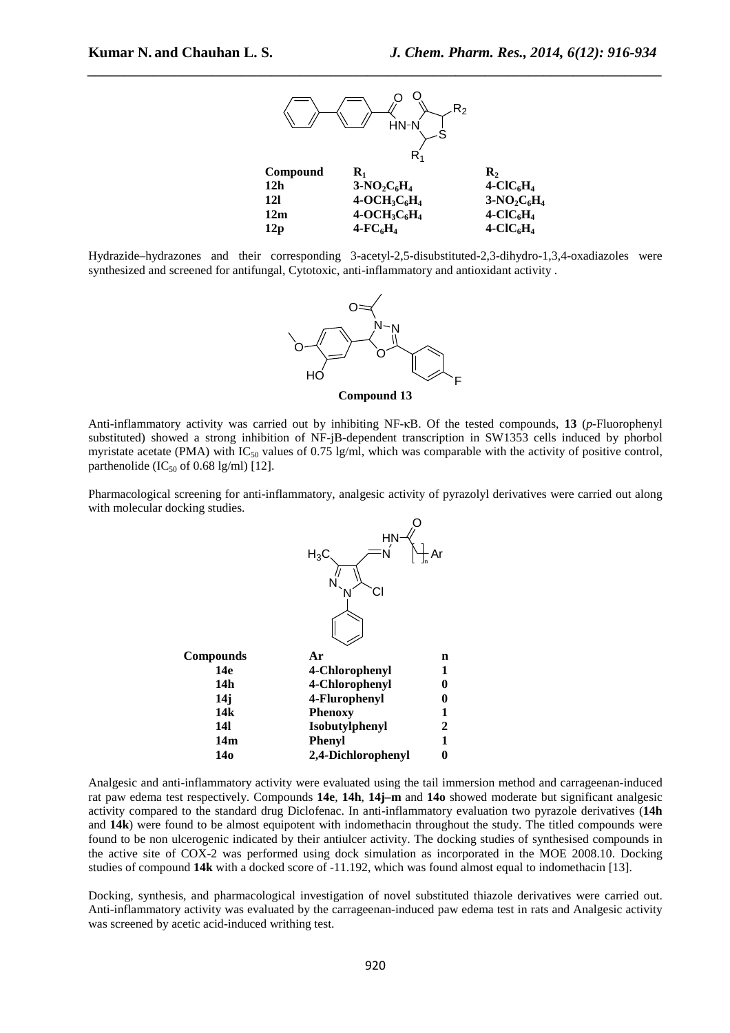

Hydrazide–hydrazones and their corresponding 3-acetyl-2,5-disubstituted-2,3-dihydro-1,3,4-oxadiazoles were synthesized and screened for antifungal, Cytotoxic, anti-inflammatory and antioxidant activity .



Anti-inflammatory activity was carried out by inhibiting NF-κB. Of the tested compounds, **13** (*p*-Fluorophenyl substituted) showed a strong inhibition of NF-jB-dependent transcription in SW1353 cells induced by phorbol myristate acetate (PMA) with  $IC_{50}$  values of 0.75 lg/ml, which was comparable with the activity of positive control, parthenolide (IC<sub>50</sub> of 0.68 lg/ml) [12].

Pharmacological screening for anti-inflammatory, analgesic activity of pyrazolyl derivatives were carried out along with molecular docking studies.



Analgesic and anti-inflammatory activity were evaluated using the tail immersion method and carrageenan-induced rat paw edema test respectively. Compounds **14e**, **14h**, **14j–m** and **14o** showed moderate but significant analgesic activity compared to the standard drug Diclofenac. In anti-inflammatory evaluation two pyrazole derivatives (**14h** and **14k**) were found to be almost equipotent with indomethacin throughout the study. The titled compounds were found to be non ulcerogenic indicated by their antiulcer activity. The docking studies of synthesised compounds in the active site of COX-2 was performed using dock simulation as incorporated in the MOE 2008.10. Docking studies of compound **14k** with a docked score of -11.192, which was found almost equal to indomethacin [13].

Docking, synthesis, and pharmacological investigation of novel substituted thiazole derivatives were carried out. Anti-inflammatory activity was evaluated by the carrageenan-induced paw edema test in rats and Analgesic activity was screened by acetic acid-induced writhing test.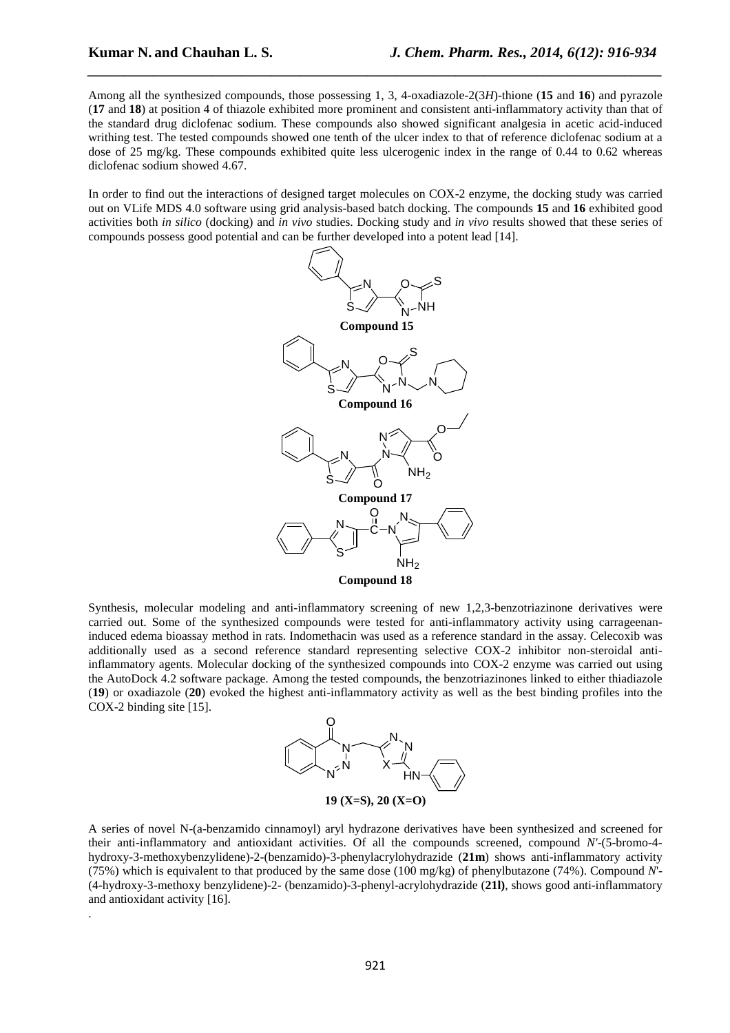.

Among all the synthesized compounds, those possessing 1, 3, 4-oxadiazole-2(3*H*)-thione (**15** and **16**) and pyrazole (**17** and **18**) at position 4 of thiazole exhibited more prominent and consistent anti-inflammatory activity than that of the standard drug diclofenac sodium. These compounds also showed significant analgesia in acetic acid-induced writhing test. The tested compounds showed one tenth of the ulcer index to that of reference diclofenac sodium at a dose of 25 mg/kg. These compounds exhibited quite less ulcerogenic index in the range of 0.44 to 0.62 whereas diclofenac sodium showed 4.67.

*\_\_\_\_\_\_\_\_\_\_\_\_\_\_\_\_\_\_\_\_\_\_\_\_\_\_\_\_\_\_\_\_\_\_\_\_\_\_\_\_\_\_\_\_\_\_\_\_\_\_\_\_\_\_\_\_\_\_\_\_\_\_\_\_\_\_\_\_\_\_\_\_\_\_\_\_\_\_*

In order to find out the interactions of designed target molecules on COX-2 enzyme, the docking study was carried out on VLife MDS 4.0 software using grid analysis-based batch docking. The compounds **15** and **16** exhibited good activities both *in silico* (docking) and *in vivo* studies. Docking study and *in vivo* results showed that these series of compounds possess good potential and can be further developed into a potent lead [14].



Synthesis, molecular modeling and anti-inflammatory screening of new 1,2,3-benzotriazinone derivatives were carried out. Some of the synthesized compounds were tested for anti-inflammatory activity using carrageenaninduced edema bioassay method in rats. Indomethacin was used as a reference standard in the assay. Celecoxib was additionally used as a second reference standard representing selective COX-2 inhibitor non-steroidal antiinflammatory agents. Molecular docking of the synthesized compounds into COX-2 enzyme was carried out using the AutoDock 4.2 software package. Among the tested compounds, the benzotriazinones linked to either thiadiazole (**19**) or oxadiazole (**20**) evoked the highest anti-inflammatory activity as well as the best binding profiles into the COX-2 binding site [15].



A series of novel N-(a-benzamido cinnamoyl) aryl hydrazone derivatives have been synthesized and screened for their anti-inflammatory and antioxidant activities. Of all the compounds screened, compound *N'*-(5-bromo-4 hydroxy-3-methoxybenzylidene)-2-(benzamido)-3-phenylacrylohydrazide (**21m**) shows anti-inflammatory activity (75%) which is equivalent to that produced by the same dose (100 mg/kg) of phenylbutazone (74%). Compound *N*'- (4-hydroxy-3-methoxy benzylidene)-2- (benzamido)-3-phenyl-acrylohydrazide (**21l)**, shows good anti-inflammatory and antioxidant activity [16].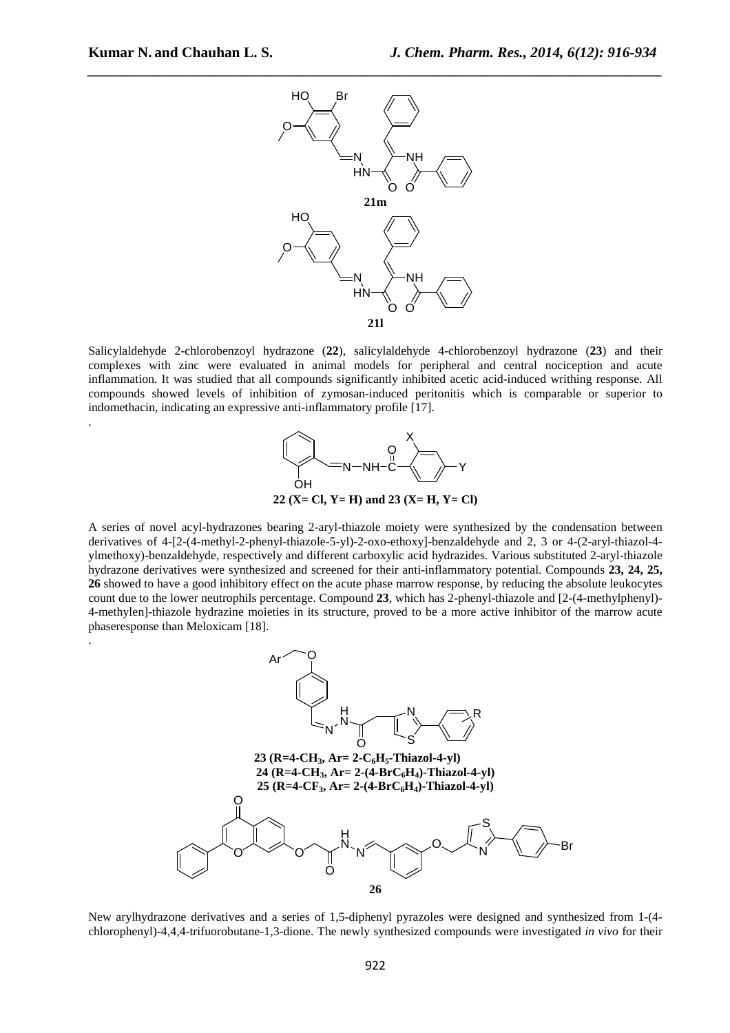.

.



Salicylaldehyde 2-chlorobenzoyl hydrazone (**22**), salicylaldehyde 4-chlorobenzoyl hydrazone (**23**) and their complexes with zinc were evaluated in animal models for peripheral and central nociception and acute inflammation. It was studied that all compounds significantly inhibited acetic acid-induced writhing response. All compounds showed levels of inhibition of zymosan-induced peritonitis which is comparable or superior to indomethacin, indicating an expressive anti-inflammatory profile [17].



A series of novel acyl-hydrazones bearing 2-aryl-thiazole moiety were synthesized by the condensation between derivatives of 4-[2-(4-methyl-2-phenyl-thiazole-5-yl)-2-oxo-ethoxy]-benzaldehyde and 2, 3 or 4-(2-aryl-thiazol-4 ylmethoxy)-benzaldehyde, respectively and different carboxylic acid hydrazides. Various substituted 2-aryl-thiazole hydrazone derivatives were synthesized and screened for their anti-inflammatory potential. Compounds **23, 24, 25, 26** showed to have a good inhibitory effect on the acute phase marrow response, by reducing the absolute leukocytes count due to the lower neutrophils percentage. Compound **23**, which has 2-phenyl-thiazole and [2-(4-methylphenyl)- 4-methylen]-thiazole hydrazine moieties in its structure, proved to be a more active inhibitor of the marrow acute phaseresponse than Meloxicam [18].



New arylhydrazone derivatives and a series of 1,5-diphenyl pyrazoles were designed and synthesized from 1-(4 chlorophenyl)-4,4,4-trifuorobutane-1,3-dione. The newly synthesized compounds were investigated *in vivo* for their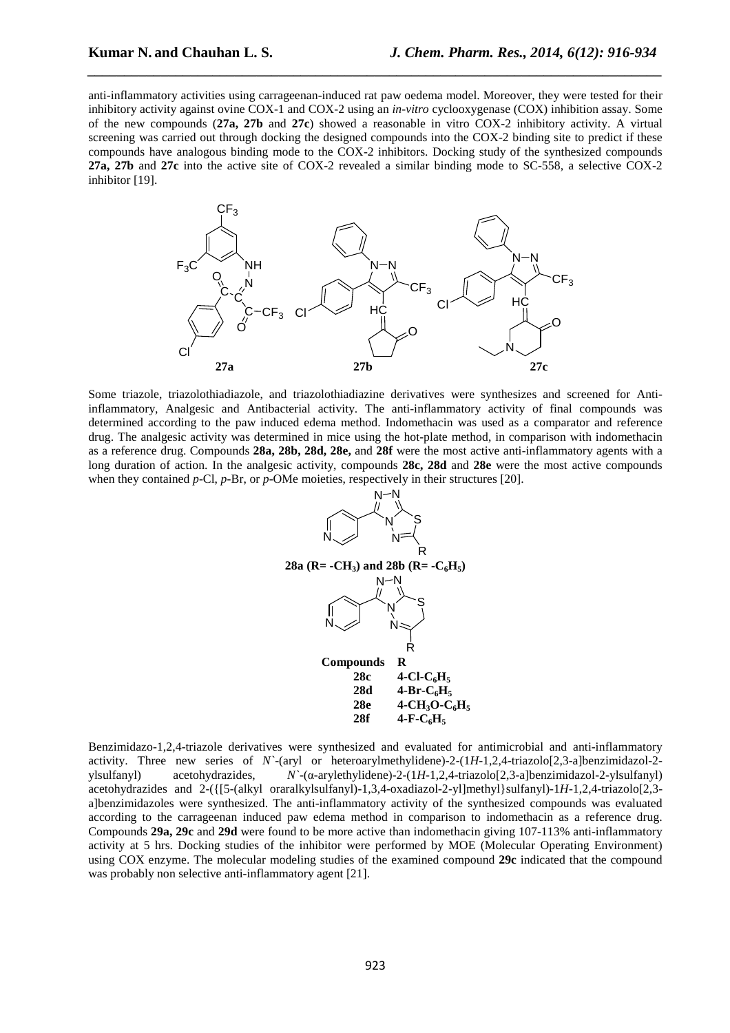anti-inflammatory activities using carrageenan-induced rat paw oedema model. Moreover, they were tested for their inhibitory activity against ovine COX-1 and COX-2 using an *in-vitro* cyclooxygenase (COX) inhibition assay. Some of the new compounds (**27a, 27b** and **27c**) showed a reasonable in vitro COX-2 inhibitory activity. A virtual screening was carried out through docking the designed compounds into the COX-2 binding site to predict if these compounds have analogous binding mode to the COX-2 inhibitors. Docking study of the synthesized compounds **27a, 27b** and **27c** into the active site of COX-2 revealed a similar binding mode to SC-558, a selective COX-2 inhibitor [19].

*\_\_\_\_\_\_\_\_\_\_\_\_\_\_\_\_\_\_\_\_\_\_\_\_\_\_\_\_\_\_\_\_\_\_\_\_\_\_\_\_\_\_\_\_\_\_\_\_\_\_\_\_\_\_\_\_\_\_\_\_\_\_\_\_\_\_\_\_\_\_\_\_\_\_\_\_\_\_*



Some triazole, triazolothiadiazole, and triazolothiadiazine derivatives were synthesizes and screened for Antiinflammatory, Analgesic and Antibacterial activity. The anti-inflammatory activity of final compounds was determined according to the paw induced edema method. Indomethacin was used as a comparator and reference drug. The analgesic activity was determined in mice using the hot-plate method, in comparison with indomethacin as a reference drug. Compounds **28a, 28b, 28d, 28e,** and **28f** were the most active anti-inflammatory agents with a long duration of action. In the analgesic activity, compounds **28c, 28d** and **28e** were the most active compounds when they contained *p*-Cl, *p*-Br, or *p*-OMe moieties, respectively in their structures [20].



Benzimidazo-1,2,4-triazole derivatives were synthesized and evaluated for antimicrobial and anti-inflammatory activity. Three new series of *N`*-(aryl or heteroarylmethylidene)-2-(1*H*-1,2,4-triazolo[2,3-a]benzimidazol-2 ylsulfanyl) acetohydrazides, *N`*-(α-arylethylidene)-2-(1*H*-1,2,4-triazolo[2,3-a]benzimidazol-2-ylsulfanyl) acetohydrazides and 2-({[5-(alkyl oraralkylsulfanyl)-1,3,4-oxadiazol-2-yl]methyl}sulfanyl)-1*H*-1,2,4-triazolo[2,3 a]benzimidazoles were synthesized. The anti-inflammatory activity of the synthesized compounds was evaluated according to the carrageenan induced paw edema method in comparison to indomethacin as a reference drug. Compounds **29a, 29c** and **29d** were found to be more active than indomethacin giving 107-113% anti-inflammatory activity at 5 hrs. Docking studies of the inhibitor were performed by MOE (Molecular Operating Environment) using COX enzyme. The molecular modeling studies of the examined compound **29c** indicated that the compound was probably non selective anti-inflammatory agent [21].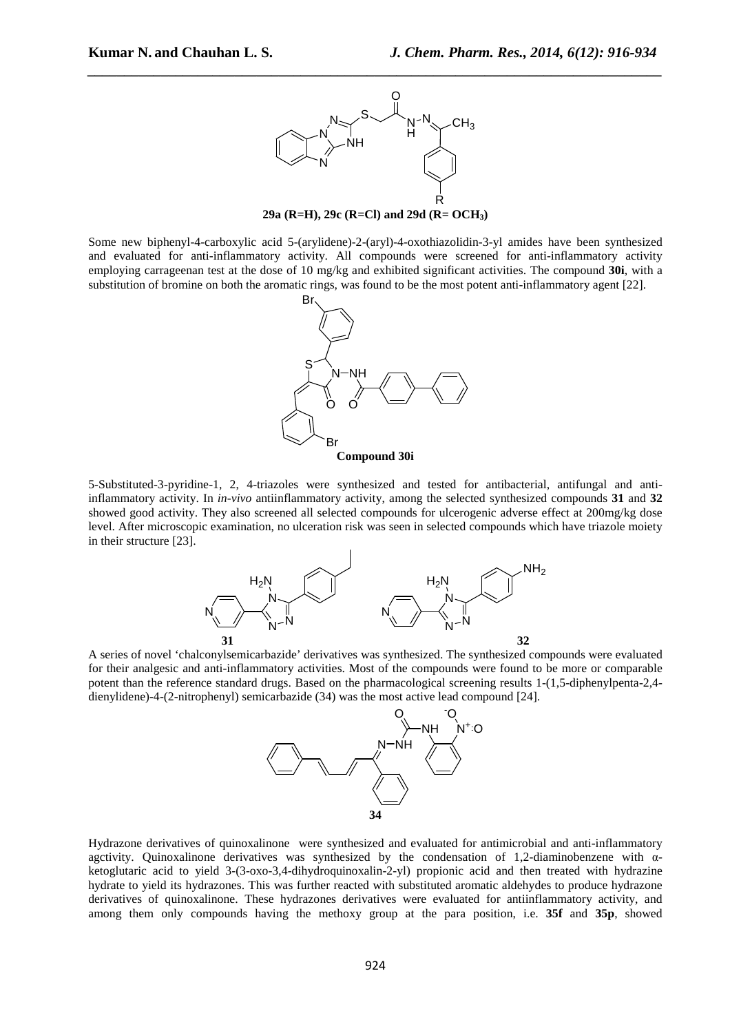

**29a (R=H), 29c (R=Cl) and 29d (R= OCH3)** 

Some new biphenyl-4-carboxylic acid 5-(arylidene)-2-(aryl)-4-oxothiazolidin-3-yl amides have been synthesized and evaluated for anti-inflammatory activity. All compounds were screened for anti-inflammatory activity employing carrageenan test at the dose of 10 mg/kg and exhibited significant activities. The compound **30i**, with a substitution of bromine on both the aromatic rings, was found to be the most potent anti-inflammatory agent [22].



5-Substituted-3-pyridine-1, 2, 4-triazoles were synthesized and tested for antibacterial, antifungal and antiinflammatory activity. In *in-vivo* antiinflammatory activity, among the selected synthesized compounds **31** and **32** showed good activity. They also screened all selected compounds for ulcerogenic adverse effect at 200mg/kg dose level. After microscopic examination, no ulceration risk was seen in selected compounds which have triazole moiety in their structure [23].



A series of novel 'chalconylsemicarbazide' derivatives was synthesized. The synthesized compounds were evaluated for their analgesic and anti-inflammatory activities. Most of the compounds were found to be more or comparable potent than the reference standard drugs. Based on the pharmacological screening results 1-(1,5-diphenylpenta-2,4 dienylidene)-4-(2-nitrophenyl) semicarbazide (34) was the most active lead compound [24].



Hydrazone derivatives of quinoxalinone were synthesized and evaluated for antimicrobial and anti-inflammatory agctivity. Quinoxalinone derivatives was synthesized by the condensation of 1,2-diaminobenzene with αketoglutaric acid to yield 3-(3-oxo-3,4-dihydroquinoxalin-2-yl) propionic acid and then treated with hydrazine hydrate to yield its hydrazones. This was further reacted with substituted aromatic aldehydes to produce hydrazone derivatives of quinoxalinone. These hydrazones derivatives were evaluated for antiinflammatory activity, and among them only compounds having the methoxy group at the para position, i.e. **35f** and **35p**, showed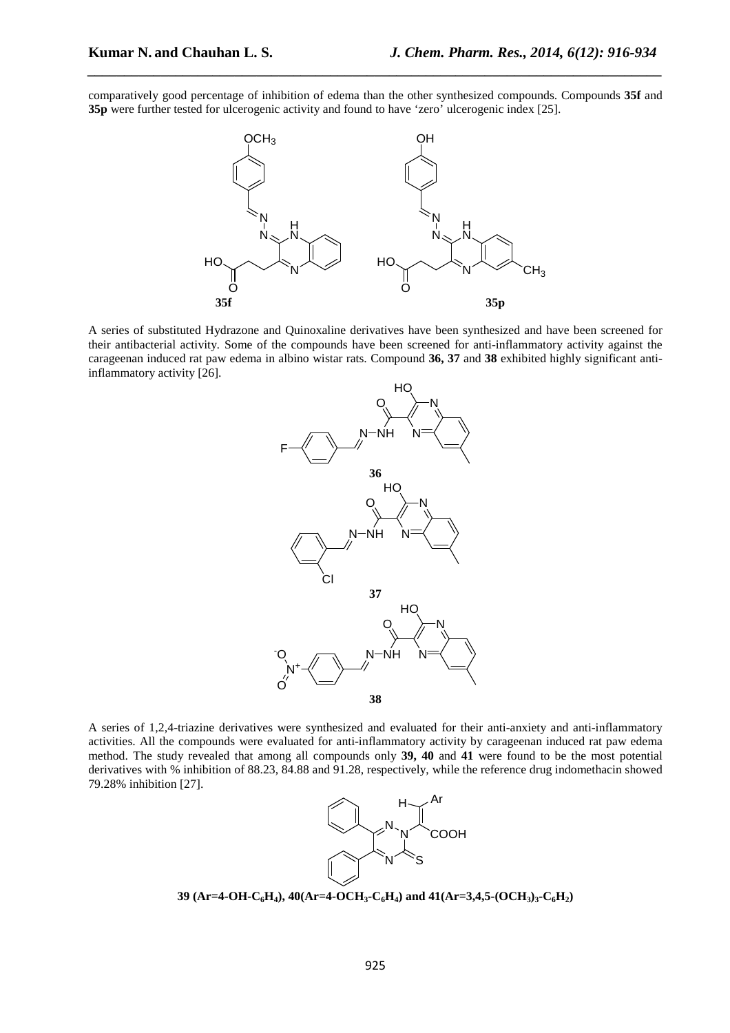comparatively good percentage of inhibition of edema than the other synthesized compounds. Compounds **35f** and **35p** were further tested for ulcerogenic activity and found to have 'zero' ulcerogenic index [25].

*\_\_\_\_\_\_\_\_\_\_\_\_\_\_\_\_\_\_\_\_\_\_\_\_\_\_\_\_\_\_\_\_\_\_\_\_\_\_\_\_\_\_\_\_\_\_\_\_\_\_\_\_\_\_\_\_\_\_\_\_\_\_\_\_\_\_\_\_\_\_\_\_\_\_\_\_\_\_*



A series of substituted Hydrazone and Quinoxaline derivatives have been synthesized and have been screened for their antibacterial activity*.* Some of the compounds have been screened for anti-inflammatory activity against the carageenan induced rat paw edema in albino wistar rats. Compound **36, 37** and **38** exhibited highly significant antiinflammatory activity [26].



A series of 1,2,4-triazine derivatives were synthesized and evaluated for their anti-anxiety and anti-inflammatory activities. All the compounds were evaluated for anti-inflammatory activity by carageenan induced rat paw edema method. The study revealed that among all compounds only **39, 40** and **41** were found to be the most potential derivatives with % inhibition of 88.23, 84.88 and 91.28, respectively, while the reference drug indomethacin showed 79.28% inhibition [27].



**39** (Ar=4-OH-C<sub>6</sub>H<sub>4</sub>), 40(Ar=4-OCH<sub>3</sub></sub>·C<sub>6</sub>H<sub>4</sub>) and 41(Ar=3,4,5-(OCH<sub>3</sub>)<sub>3</sub>·C<sub>6</sub>H<sub>2</sub>)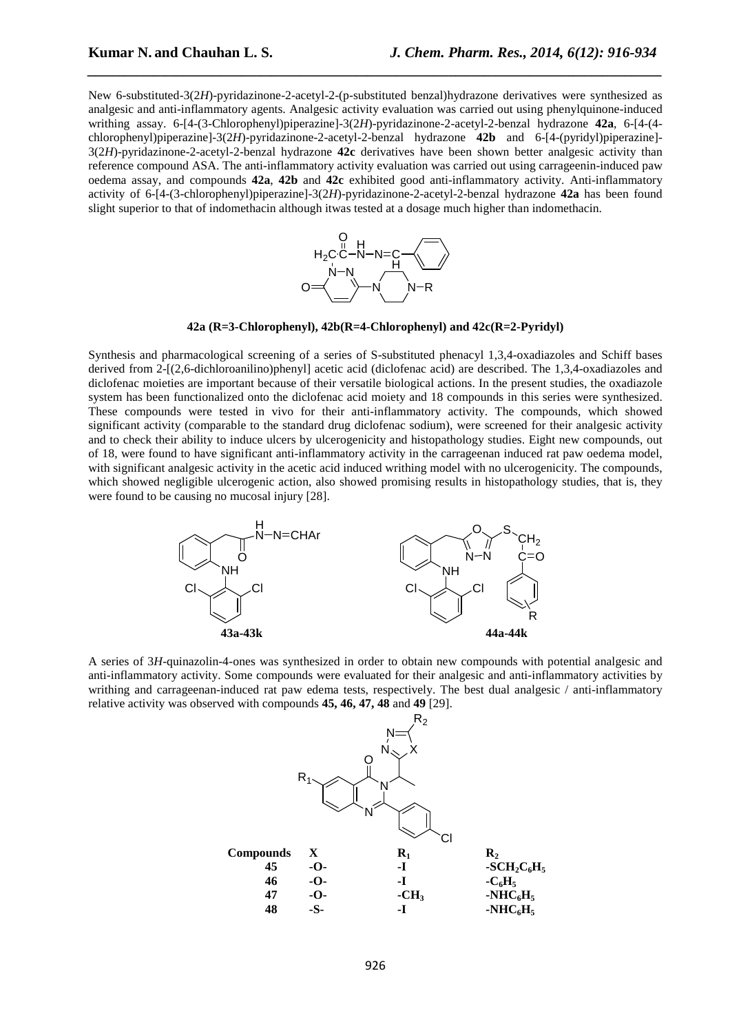New 6-substituted-3(2*H*)-pyridazinone-2-acetyl-2-(p-substituted benzal)hydrazone derivatives were synthesized as analgesic and anti-inflammatory agents. Analgesic activity evaluation was carried out using phenylquinone-induced writhing assay. 6-[4-(3-Chlorophenyl)piperazine]-3(2*H*)-pyridazinone-2-acetyl-2-benzal hydrazone **42a**, 6-[4-(4 chlorophenyl)piperazine]-3(2*H*)-pyridazinone-2-acetyl-2-benzal hydrazone **42b** and 6-[4-(pyridyl)piperazine]- 3(2*H*)-pyridazinone-2-acetyl-2-benzal hydrazone **42c** derivatives have been shown better analgesic activity than reference compound ASA. The anti-inflammatory activity evaluation was carried out using carrageenin-induced paw oedema assay, and compounds **42a**, **42b** and **42c** exhibited good anti-inflammatory activity. Anti-inflammatory activity of 6-[4-(3-chlorophenyl)piperazine]-3(2*H*)-pyridazinone-2-acetyl-2-benzal hydrazone **42a** has been found slight superior to that of indomethacin although itwas tested at a dosage much higher than indomethacin.

*\_\_\_\_\_\_\_\_\_\_\_\_\_\_\_\_\_\_\_\_\_\_\_\_\_\_\_\_\_\_\_\_\_\_\_\_\_\_\_\_\_\_\_\_\_\_\_\_\_\_\_\_\_\_\_\_\_\_\_\_\_\_\_\_\_\_\_\_\_\_\_\_\_\_\_\_\_\_*





Synthesis and pharmacological screening of a series of S-substituted phenacyl 1,3,4-oxadiazoles and Schiff bases derived from 2-[(2,6-dichloroanilino)phenyl] acetic acid (diclofenac acid) are described. The 1,3,4-oxadiazoles and diclofenac moieties are important because of their versatile biological actions. In the present studies, the oxadiazole system has been functionalized onto the diclofenac acid moiety and 18 compounds in this series were synthesized. These compounds were tested in vivo for their anti-inflammatory activity. The compounds, which showed significant activity (comparable to the standard drug diclofenac sodium), were screened for their analgesic activity and to check their ability to induce ulcers by ulcerogenicity and histopathology studies. Eight new compounds, out of 18, were found to have significant anti-inflammatory activity in the carrageenan induced rat paw oedema model, with significant analgesic activity in the acetic acid induced writhing model with no ulcerogenicity. The compounds, which showed negligible ulcerogenic action, also showed promising results in histopathology studies, that is, they were found to be causing no mucosal injury [28].



A series of 3*H*-quinazolin-4-ones was synthesized in order to obtain new compounds with potential analgesic and anti-inflammatory activity. Some compounds were evaluated for their analgesic and anti-inflammatory activities by writhing and carrageenan-induced rat paw edema tests, respectively. The best dual analgesic / anti-inflammatory relative activity was observed with compounds **45, 46, 47, 48** and **49** [29].

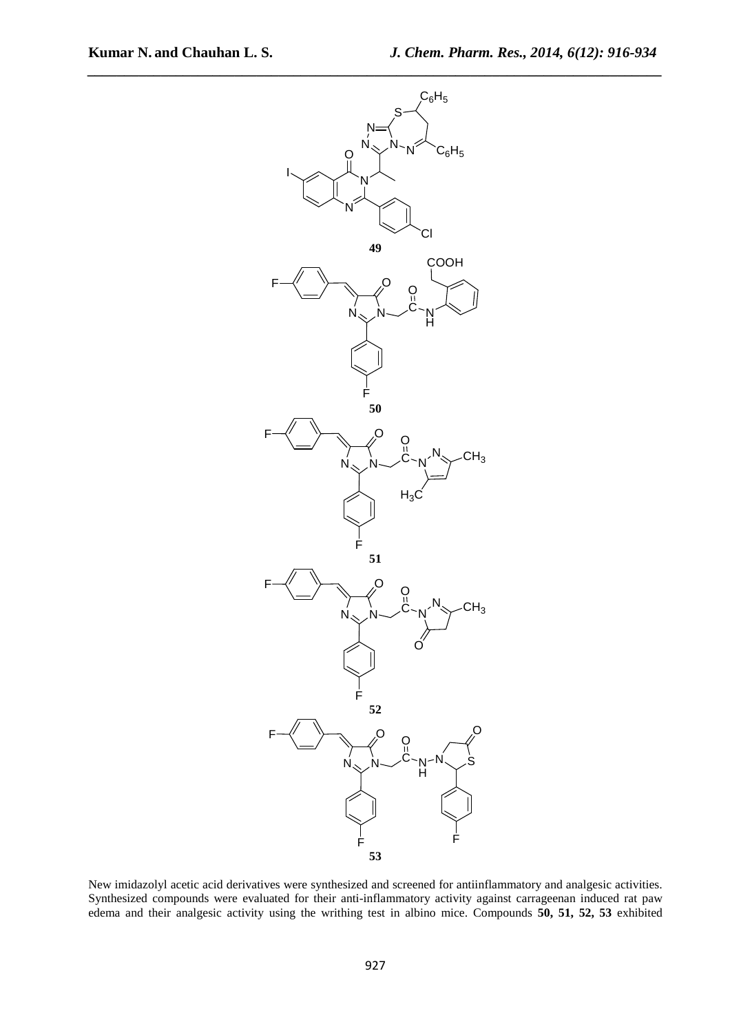

New imidazolyl acetic acid derivatives were synthesized and screened for antiinflammatory and analgesic activities. Synthesized compounds were evaluated for their anti-inflammatory activity against carrageenan induced rat paw edema and their analgesic activity using the writhing test in albino mice. Compounds **50, 51, 52, 53** exhibited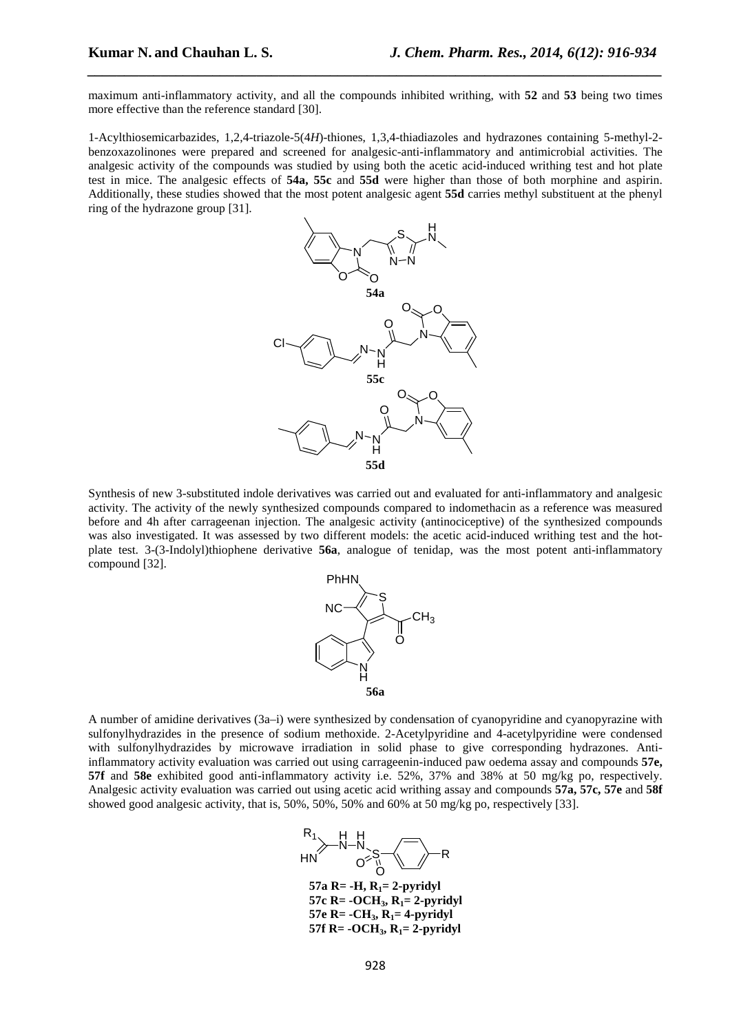maximum anti-inflammatory activity, and all the compounds inhibited writhing, with **52** and **53** being two times more effective than the reference standard [30].

*\_\_\_\_\_\_\_\_\_\_\_\_\_\_\_\_\_\_\_\_\_\_\_\_\_\_\_\_\_\_\_\_\_\_\_\_\_\_\_\_\_\_\_\_\_\_\_\_\_\_\_\_\_\_\_\_\_\_\_\_\_\_\_\_\_\_\_\_\_\_\_\_\_\_\_\_\_\_*

1-Acylthiosemicarbazides, 1,2,4-triazole-5(4*H*)-thiones, 1,3,4-thiadiazoles and hydrazones containing 5-methyl-2 benzoxazolinones were prepared and screened for analgesic-anti-inflammatory and antimicrobial activities. The analgesic activity of the compounds was studied by using both the acetic acid-induced writhing test and hot plate test in mice. The analgesic effects of **54a, 55c** and **55d** were higher than those of both morphine and aspirin. Additionally, these studies showed that the most potent analgesic agent **55d** carries methyl substituent at the phenyl ring of the hydrazone group [31].



Synthesis of new 3-substituted indole derivatives was carried out and evaluated for anti-inflammatory and analgesic activity. The activity of the newly synthesized compounds compared to indomethacin as a reference was measured before and 4h after carrageenan injection. The analgesic activity (antinociceptive) of the synthesized compounds was also investigated. It was assessed by two different models: the acetic acid-induced writhing test and the hotplate test. 3-(3-Indolyl)thiophene derivative **56a**, analogue of tenidap, was the most potent anti-inflammatory compound [32].



A number of amidine derivatives (3a–i) were synthesized by condensation of cyanopyridine and cyanopyrazine with sulfonylhydrazides in the presence of sodium methoxide. 2-Acetylpyridine and 4-acetylpyridine were condensed with sulfonylhydrazides by microwave irradiation in solid phase to give corresponding hydrazones. Antiinflammatory activity evaluation was carried out using carrageenin-induced paw oedema assay and compounds **57e, 57f** and **58e** exhibited good anti-inflammatory activity i.e. 52%, 37% and 38% at 50 mg/kg po, respectively. Analgesic activity evaluation was carried out using acetic acid writhing assay and compounds **57a, 57c, 57e** and **58f** showed good analgesic activity, that is, 50%, 50%, 50% and 60% at 50 mg/kg po, respectively [33].



**57c R= -OCH3, R1= 2-pyridyl 57e R= -CH**<sub>3</sub>**, R**<sub>1</sub>= 4-pyridyl **57f R= -OCH3, R1= 2-pyridyl**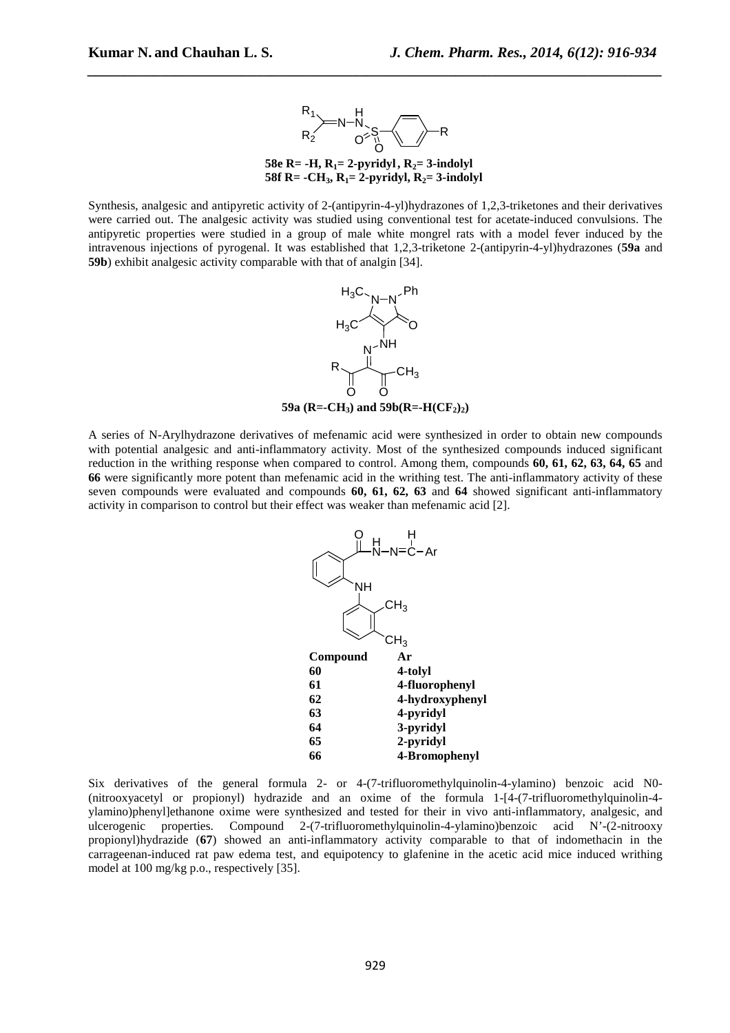

**58e R= -H,**  $R_1 = 2$ **-pyridyl,**  $R_2 = 3$ **-indolyl 58f R= -CH**<sub>3</sub>**, R**<sub>1</sub>= 2-pyridyl, R<sub>2</sub>= 3-indolyl

Synthesis, analgesic and antipyretic activity of 2-(antipyrin-4-yl)hydrazones of 1,2,3-triketones and their derivatives were carried out. The analgesic activity was studied using conventional test for acetate-induced convulsions. The antipyretic properties were studied in a group of male white mongrel rats with a model fever induced by the intravenous injections of pyrogenal. It was established that 1,2,3-triketone 2-(antipyrin-4-yl)hydrazones (**59a** and **59b**) exhibit analgesic activity comparable with that of analgin [34].



**59a** ( $R = -CH_3$ ) and **59b**( $R = -H(CF_2)_2$ )

A series of N-Arylhydrazone derivatives of mefenamic acid were synthesized in order to obtain new compounds with potential analgesic and anti-inflammatory activity. Most of the synthesized compounds induced significant reduction in the writhing response when compared to control. Among them, compounds **60, 61, 62, 63, 64, 65** and **66** were significantly more potent than mefenamic acid in the writhing test. The anti-inflammatory activity of these seven compounds were evaluated and compounds **60, 61, 62, 63** and **64** showed significant anti-inflammatory activity in comparison to control but their effect was weaker than mefenamic acid [2].



Six derivatives of the general formula 2- or 4-(7-trifluoromethylquinolin-4-ylamino) benzoic acid N0- (nitrooxyacetyl or propionyl) hydrazide and an oxime of the formula 1-[4-(7-trifluoromethylquinolin-4 ylamino)phenyl]ethanone oxime were synthesized and tested for their in vivo anti-inflammatory, analgesic, and ulcerogenic properties. Compound 2-(7-trifluoromethylquinolin-4-ylamino)benzoic acid N'-(2-nitrooxy propionyl)hydrazide (**67**) showed an anti-inflammatory activity comparable to that of indomethacin in the carrageenan-induced rat paw edema test, and equipotency to glafenine in the acetic acid mice induced writhing model at 100 mg/kg p.o., respectively [35].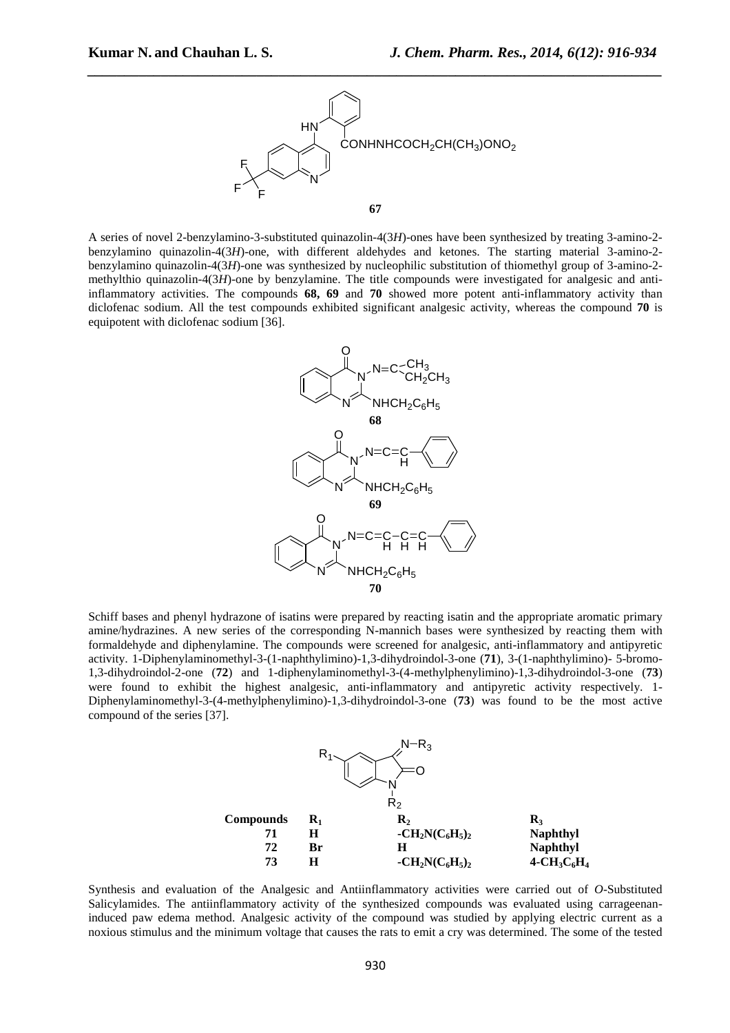

A series of novel 2-benzylamino-3-substituted quinazolin-4(3*H*)-ones have been synthesized by treating 3-amino-2 benzylamino quinazolin-4(3*H*)-one, with different aldehydes and ketones. The starting material 3-amino-2 benzylamino quinazolin-4(3*H*)-one was synthesized by nucleophilic substitution of thiomethyl group of 3-amino-2 methylthio quinazolin-4(3*H*)-one by benzylamine. The title compounds were investigated for analgesic and antiinflammatory activities. The compounds **68, 69** and **70** showed more potent anti-inflammatory activity than diclofenac sodium. All the test compounds exhibited significant analgesic activity, whereas the compound **70** is equipotent with diclofenac sodium [36].



Schiff bases and phenyl hydrazone of isatins were prepared by reacting isatin and the appropriate aromatic primary amine/hydrazines. A new series of the corresponding N-mannich bases were synthesized by reacting them with formaldehyde and diphenylamine. The compounds were screened for analgesic, anti-inflammatory and antipyretic activity. 1-Diphenylaminomethyl-3-(1-naphthylimino)-1,3-dihydroindol-3-one (**71**), 3-(1-naphthylimino)- 5-bromo-1,3-dihydroindol-2-one (**72**) and 1-diphenylaminomethyl-3-(4-methylphenylimino)-1,3-dihydroindol-3-one (**73**) were found to exhibit the highest analgesic, anti-inflammatory and antipyretic activity respectively. 1- Diphenylaminomethyl-3-(4-methylphenylimino)-1,3-dihydroindol-3-one (**73**) was found to be the most active compound of the series [37].



Synthesis and evaluation of the Analgesic and Antiinflammatory activities were carried out of *O*-Substituted Salicylamides. The antiinflammatory activity of the synthesized compounds was evaluated using carrageenaninduced paw edema method. Analgesic activity of the compound was studied by applying electric current as a noxious stimulus and the minimum voltage that causes the rats to emit a cry was determined. The some of the tested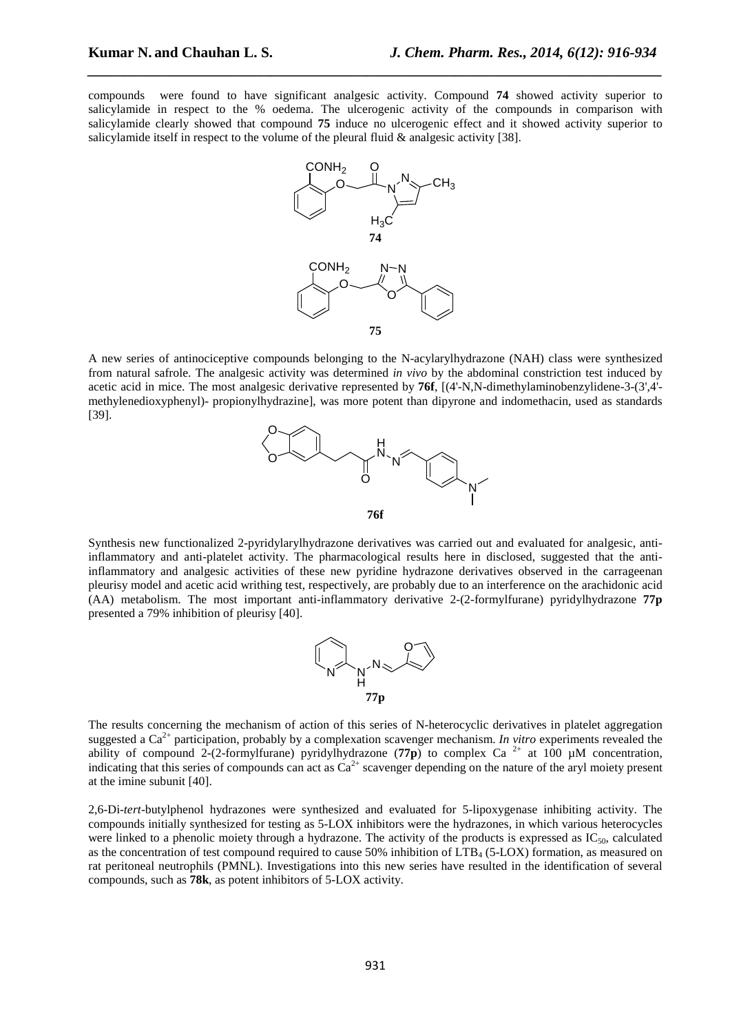compounds were found to have significant analgesic activity. Compound **74** showed activity superior to salicylamide in respect to the % oedema. The ulcerogenic activity of the compounds in comparison with salicylamide clearly showed that compound **75** induce no ulcerogenic effect and it showed activity superior to salicylamide itself in respect to the volume of the pleural fluid  $\&$  analgesic activity [38].

*\_\_\_\_\_\_\_\_\_\_\_\_\_\_\_\_\_\_\_\_\_\_\_\_\_\_\_\_\_\_\_\_\_\_\_\_\_\_\_\_\_\_\_\_\_\_\_\_\_\_\_\_\_\_\_\_\_\_\_\_\_\_\_\_\_\_\_\_\_\_\_\_\_\_\_\_\_\_*



A new series of antinociceptive compounds belonging to the N-acylarylhydrazone (NAH) class were synthesized from natural safrole. The analgesic activity was determined *in vivo* by the abdominal constriction test induced by acetic acid in mice. The most analgesic derivative represented by **76f**, [(4'-N,N-dimethylaminobenzylidene-3-(3',4' methylenedioxyphenyl)- propionylhydrazine], was more potent than dipyrone and indomethacin, used as standards [39].



Synthesis new functionalized 2-pyridylarylhydrazone derivatives was carried out and evaluated for analgesic, antiinflammatory and anti-platelet activity. The pharmacological results here in disclosed, suggested that the antiinflammatory and analgesic activities of these new pyridine hydrazone derivatives observed in the carrageenan pleurisy model and acetic acid writhing test, respectively, are probably due to an interference on the arachidonic acid (AA) metabolism. The most important anti-inflammatory derivative 2-(2-formylfurane) pyridylhydrazone **77p** presented a 79% inhibition of pleurisy [40].



The results concerning the mechanism of action of this series of N-heterocyclic derivatives in platelet aggregation suggested a  $Ca^{2+}$  participation, probably by a complexation scavenger mechanism. *In vitro* experiments revealed the ability of compound 2-(2-formylfurane) pyridylhydrazone (77p) to complex Ca<sup>2+</sup> at 100  $\mu$ M concentration, indicating that this series of compounds can act as  $Ca^{2+}$  scavenger depending on the nature of the aryl moiety present at the imine subunit [40].

2,6-Di-*tert*-butylphenol hydrazones were synthesized and evaluated for 5-lipoxygenase inhibiting activity. The compounds initially synthesized for testing as 5-LOX inhibitors were the hydrazones, in which various heterocycles were linked to a phenolic moiety through a hydrazone. The activity of the products is expressed as  $IC_{50}$ , calculated as the concentration of test compound required to cause 50% inhibition of LTB<sub>4</sub> (5-LOX) formation, as measured on rat peritoneal neutrophils (PMNL). Investigations into this new series have resulted in the identification of several compounds, such as **78k**, as potent inhibitors of 5-LOX activity.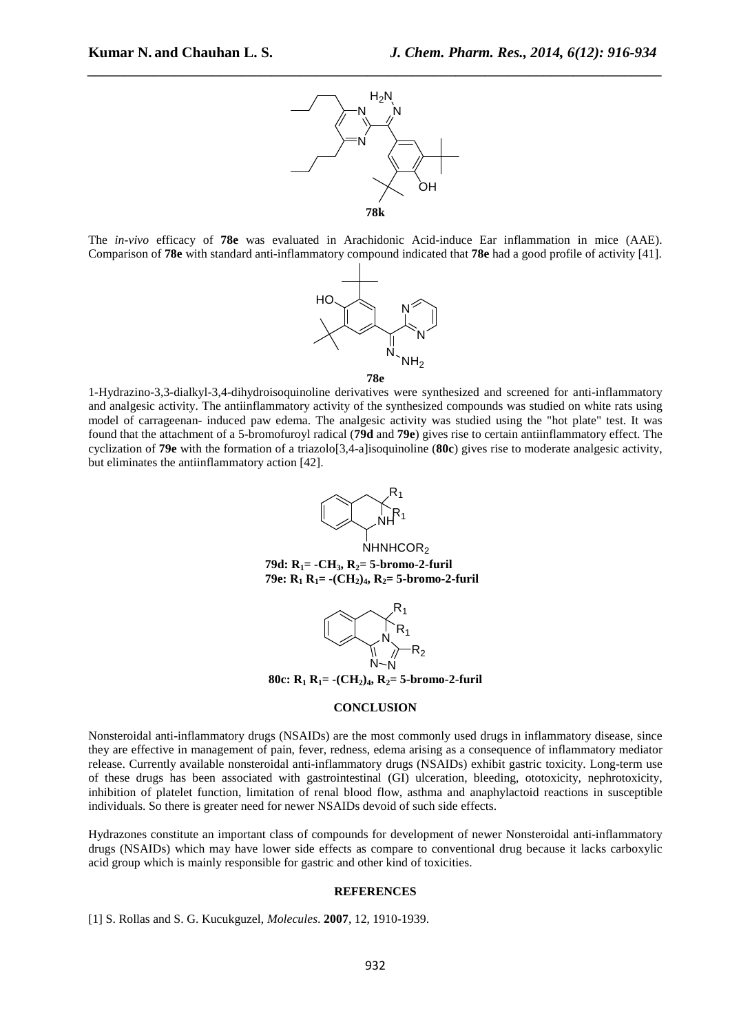

The *in-vivo* efficacy of **78e** was evaluated in Arachidonic Acid-induce Ear inflammation in mice (AAE). Comparison of **78e** with standard anti-inflammatory compound indicated that **78e** had a good profile of activity [41].



1-Hydrazino-3,3-dialkyl-3,4-dihydroisoquinoline derivatives were synthesized and screened for anti-inflammatory and analgesic activity. The antiinflammatory activity of the synthesized compounds was studied on white rats using model of carrageenan- induced paw edema. The analgesic activity was studied using the "hot plate" test. It was found that the attachment of a 5-bromofuroyl radical (**79d** and **79e**) gives rise to certain antiinflammatory effect. The cyclization of **79e** with the formation of a triazolo[3,4-a]isoquinoline (**80c**) gives rise to moderate analgesic activity, but eliminates the antiinflammatory action [42].



**79d: R1= -CH3, R2= 5-bromo-2-furil 79e: R1 R1= -(CH2)4, R2= 5-bromo-2-furil** 



**80c:**  $R_1$   $R_1$  =  $-(CH_2)_4$ ,  $R_2$  = 5-bromo-2-furil

#### **CONCLUSION**

Nonsteroidal anti-inflammatory drugs (NSAIDs) are the most commonly used drugs in inflammatory disease, since they are effective in management of pain, fever, redness, edema arising as a consequence of inflammatory mediator release. Currently available nonsteroidal anti-inflammatory drugs (NSAIDs) exhibit gastric toxicity. Long-term use of these drugs has been associated with gastrointestinal (GI) ulceration, bleeding, ototoxicity, nephrotoxicity, inhibition of platelet function, limitation of renal blood flow, asthma and anaphylactoid reactions in susceptible individuals. So there is greater need for newer NSAIDs devoid of such side effects.

Hydrazones constitute an important class of compounds for development of newer Nonsteroidal anti-inflammatory drugs (NSAIDs) which may have lower side effects as compare to conventional drug because it lacks carboxylic acid group which is mainly responsible for gastric and other kind of toxicities.

#### **REFERENCES**

[1] S. Rollas and S. G. Kucukguzel, *Molecules*. **2007**, 12, 1910-1939.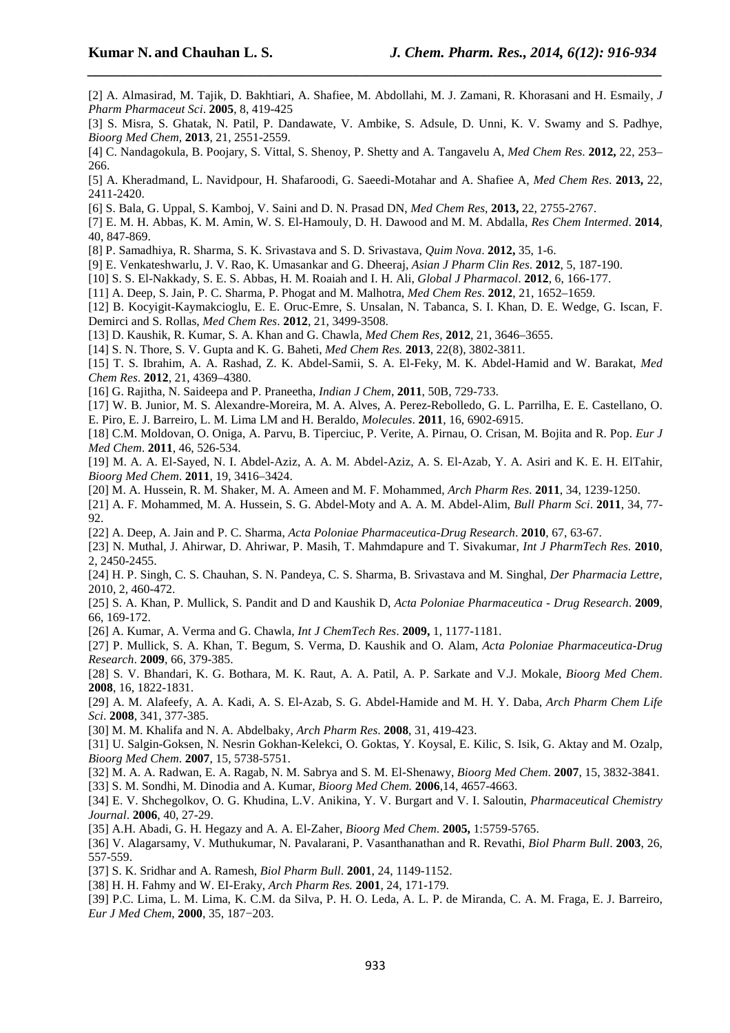[2] A. Almasirad, M. Tajik, D. Bakhtiari, A. Shafiee, M. Abdollahi, M. J. Zamani, R. Khorasani and H. Esmaily, *J Pharm Pharmaceut Sci*. **2005**, 8, 419-425

*\_\_\_\_\_\_\_\_\_\_\_\_\_\_\_\_\_\_\_\_\_\_\_\_\_\_\_\_\_\_\_\_\_\_\_\_\_\_\_\_\_\_\_\_\_\_\_\_\_\_\_\_\_\_\_\_\_\_\_\_\_\_\_\_\_\_\_\_\_\_\_\_\_\_\_\_\_\_*

- [3] S. Misra, S. Ghatak, N. Patil, P. Dandawate, V. Ambike, S. Adsule, D. Unni, K. V. Swamy and S. Padhye, *Bioorg Med Chem*, **2013**, 21, 2551-2559.
- [4] C. Nandagokula, B. Poojary, S. Vittal, S. Shenoy, P. Shetty and A. Tangavelu A, *Med Chem Res*. **2012,** 22, 253– 266.
- [5] A. Kheradmand, L. Navidpour, H. Shafaroodi, G. Saeedi-Motahar and A. Shafiee A, *Med Chem Res*. **2013,** 22, 2411-2420.
- [6] S. Bala, G. Uppal, S. Kamboj, V. Saini and D. N. Prasad DN, *Med Chem Res*, **2013,** 22, 2755-2767.
- [7] E. M. H. Abbas, K. M. Amin, W. S. El-Hamouly, D. H. Dawood and M. M. Abdalla, *Res Chem Intermed*. **2014**, 40, 847-869.
- [8] P. Samadhiya, R. Sharma, S. K. Srivastava and S. D. Srivastava, *Quim Nova*. **2012,** 35, 1-6.
- [9] E. Venkateshwarlu, J. V. Rao, K. Umasankar and G. Dheeraj, *Asian J Pharm Clin Res*. **2012**, 5, 187-190.
- [10] S. S. El-Nakkady, S. E. S. Abbas, H. M. Roaiah and I. H. Ali, *Global J Pharmacol*. **2012**, 6, 166-177.
- [11] A. Deep, S. Jain, P. C. Sharma, P. Phogat and M. Malhotra, *Med Chem Res*. **2012**, 21, 1652–1659.
- [12] B. Kocyigit-Kaymakcioglu, E. E. Oruc-Emre, S. Unsalan, N. Tabanca, S. I. Khan, D. E. Wedge, G. Iscan, F. Demirci and S. Rollas, *Med Chem Res*. **2012**, 21, 3499-3508.
- [13] D. Kaushik, R. Kumar, S. A. Khan and G. Chawla, *Med Chem Res*, **2012**, 21, 3646–3655.
- [14] S. N. Thore, S. V. Gupta and K. G. Baheti, *Med Chem Res.* **2013**, 22(8), 3802-3811.
- [15] T. S. Ibrahim, A. A. Rashad, Z. K. Abdel-Samii, S. A. El-Feky, M. K. Abdel-Hamid and W. Barakat, *Med Chem Res*. **2012**, 21, 4369–4380.
- [16] G. Rajitha, N. Saideepa and P. Praneetha, *Indian J Chem*, **2011**, 50B, 729-733.
- [17] W. B. Junior, M. S. Alexandre-Moreira, M. A. Alves, A. Perez-Rebolledo, G. L. Parrilha, E. E. Castellano, O.
- E. Piro, E. J. Barreiro, L. M. Lima LM and H. Beraldo, *Molecules*. **2011**, 16, 6902-6915.
- [18] C.M. Moldovan, O. Oniga, A. Parvu, B. Tiperciuc, P. Verite, A. Pirnau, O. Crisan, M. Bojita and R. Pop. *Eur J Med Chem*. **2011**, 46, 526-534.
- [19] M. A. A. El-Sayed, N. I. Abdel-Aziz, A. A. M. Abdel-Aziz, A. S. El-Azab, Y. A. Asiri and K. E. H. ElTahir, *Bioorg Med Chem*. **2011**, 19, 3416–3424.
- [20] M. A. Hussein, R. M. Shaker, M. A. Ameen and M. F. Mohammed, *Arch Pharm Res*. **2011**, 34, 1239-1250.
- [21] A. F. Mohammed, M. A. Hussein, S. G. Abdel-Moty and A. A. M. Abdel-Alim, *Bull Pharm Sci*. **2011**, 34, 77- 92.
- [22] A. Deep, A. Jain and P. C. Sharma, *Acta Poloniae Pharmaceutica-Drug Research*. **2010**, 67, 63-67.
- [23] N. Muthal, J. Ahirwar, D. Ahriwar, P. Masih, T. Mahmdapure and T. Sivakumar, *Int J PharmTech Res*. **2010**, 2, 2450-2455.
- [24] H. P. Singh, C. S. Chauhan, S. N. Pandeya, C. S. Sharma, B. Srivastava and M. Singhal, *Der Pharmacia Lettre*, 2010, 2, 460-472.
- [25] S. A. Khan, P. Mullick, S. Pandit and D and Kaushik D, *Acta Poloniae Pharmaceutica Drug Research*. **2009**, 66, 169-172.
- [26] A. Kumar, A. Verma and G. Chawla, *Int J ChemTech Res*. **2009,** 1, 1177-1181.
- [27] P. Mullick, S. A. Khan, T. Begum, S. Verma, D. Kaushik and O. Alam, *Acta Poloniae Pharmaceutica-Drug Research*. **2009**, 66, 379-385.
- [28] S. V. Bhandari, K. G. Bothara, M. K. Raut, A. A. Patil, A. P. Sarkate and V.J. Mokale, *Bioorg Med Chem*. **2008**, 16, 1822-1831.
- [29] A. M. Alafeefy, A. A. Kadi, A. S. El-Azab, S. G. Abdel-Hamide and M. H. Y. Daba, *Arch Pharm Chem Life Sci*. **2008**, 341, 377-385.
- [30] M. M. Khalifa and N. A. Abdelbaky, *Arch Pharm Res*. **2008**, 31, 419-423.
- [31] U. Salgin-Goksen, N. Nesrin Gokhan-Kelekci, O. Goktas, Y. Koysal, E. Kilic, S. Isik, G. Aktay and M. Ozalp, *Bioorg Med Chem*. **2007**, 15, 5738-5751.
- [32] M. A. A. Radwan, E. A. Ragab, N. M. Sabrya and S. M. El-Shenawy, *Bioorg Med Chem*. **2007**, 15, 3832-3841.
- [33] S. M. Sondhi, M. Dinodia and A. Kumar, *Bioorg Med Chem.* **2006**,14, 4657-4663.
- [34] E. V. Shchegolkov, O. G. Khudina, L.V. Anikina, Y. V. Burgart and V. I. Saloutin, *Pharmaceutical Chemistry Journal*. **2006**, 40, 27-29.
- [35] A.H. Abadi, G. H. Hegazy and A. A. El-Zaher, *Bioorg Med Chem*. **2005,** 1:5759-5765.
- [36] V. Alagarsamy, V. Muthukumar, N. Pavalarani, P. Vasanthanathan and R. Revathi, *Biol Pharm Bull*. **2003**, 26, 557-559.
- [37] S. K. Sridhar and A. Ramesh, *Biol Pharm Bull*. **2001**, 24, 1149-1152.
- [38] H. H. Fahmy and W. EI-Eraky, *Arch Pharm Res.* **2001**, 24, 171-179.
- [39] P.C. Lima, L. M. Lima, K. C.M. da Silva, P. H. O. Leda, A. L. P. de Miranda, C. A. M. Fraga, E. J. Barreiro, *Eur J Med Chem*, **2000**, 35, 187−203.